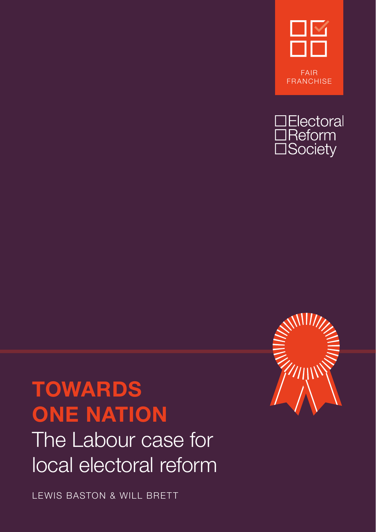



# **TOWARDS** ONE NATION

The Labour case for local electoral reform

LEWIS BASTON & WILL BRETT

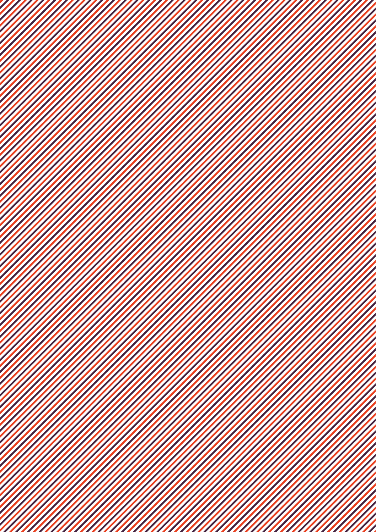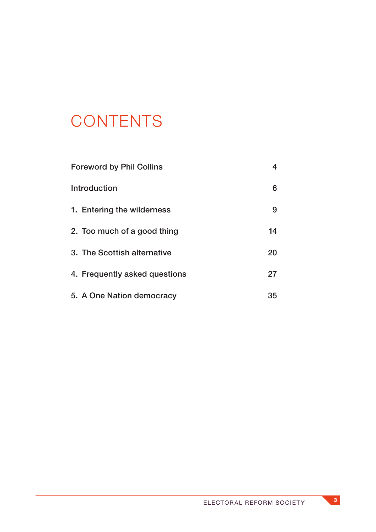## **CONTENTS**

| <b>Foreword by Phil Collins</b> | 4  |
|---------------------------------|----|
| Introduction                    | 6  |
| 1. Entering the wilderness      | 9  |
| 2. Too much of a good thing     | 14 |
| 3. The Scottish alternative     | 20 |
| 4. Frequently asked questions   | 27 |
| 5. A One Nation democracy       | 35 |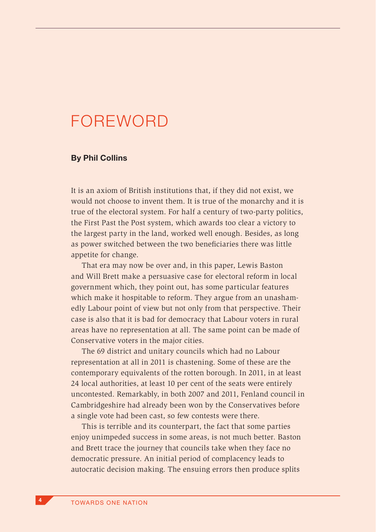## FOREWORD

#### By Phil Collins

It is an axiom of British institutions that, if they did not exist, we would not choose to invent them. It is true of the monarchy and it is true of the electoral system. For half a century of two-party politics, the First Past the Post system, which awards too clear a victory to the largest party in the land, worked well enough. Besides, as long as power switched between the two beneficiaries there was little appetite for change.

That era may now be over and, in this paper, Lewis Baston and Will Brett make a persuasive case for electoral reform in local government which, they point out, has some particular features which make it hospitable to reform. They argue from an unashamedly Labour point of view but not only from that perspective. Their case is also that it is bad for democracy that Labour voters in rural areas have no representation at all. The same point can be made of Conservative voters in the major cities.

The 69 district and unitary councils which had no Labour representation at all in 2011 is chastening. Some of these are the contemporary equivalents of the rotten borough. In 2011, in at least 24 local authorities, at least 10 per cent of the seats were entirely uncontested. Remarkably, in both 2007 and 2011, Fenland council in Cambridgeshire had already been won by the Conservatives before a single vote had been cast, so few contests were there.

This is terrible and its counterpart, the fact that some parties enjoy unimpeded success in some areas, is not much better. Baston and Brett trace the journey that councils take when they face no democratic pressure. An initial period of complacency leads to autocratic decision making. The ensuing errors then produce splits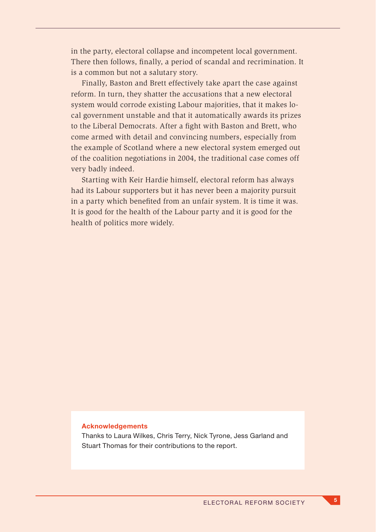in the party, electoral collapse and incompetent local government. There then follows, finally, a period of scandal and recrimination. It is a common but not a salutary story.

Finally, Baston and Brett effectively take apart the case against reform. In turn, they shatter the accusations that a new electoral system would corrode existing Labour majorities, that it makes local government unstable and that it automatically awards its prizes to the Liberal Democrats. After a fight with Baston and Brett, who come armed with detail and convincing numbers, especially from the example of Scotland where a new electoral system emerged out of the coalition negotiations in 2004, the traditional case comes off very badly indeed.

Starting with Keir Hardie himself, electoral reform has always had its Labour supporters but it has never been a majority pursuit in a party which benefited from an unfair system. It is time it was. It is good for the health of the Labour party and it is good for the health of politics more widely.

#### Acknowledgements

Thanks to Laura Wilkes, Chris Terry, Nick Tyrone, Jess Garland and Stuart Thomas for their contributions to the report.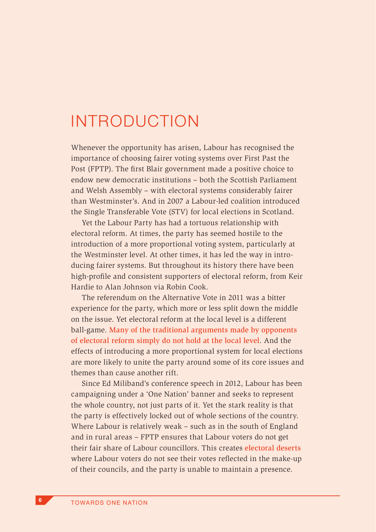## INTRODUCTION

Whenever the opportunity has arisen, Labour has recognised the importance of choosing fairer voting systems over First Past the Post (FPTP). The first Blair government made a positive choice to endow new democratic institutions – both the Scottish Parliament and Welsh Assembly – with electoral systems considerably fairer than Westminster's. And in 2007 a Labour-led coalition introduced the Single Transferable Vote (STV) for local elections in Scotland.

Yet the Labour Party has had a tortuous relationship with electoral reform. At times, the party has seemed hostile to the introduction of a more proportional voting system, particularly at the Westminster level. At other times, it has led the way in introducing fairer systems. But throughout its history there have been high-profile and consistent supporters of electoral reform, from Keir Hardie to Alan Johnson via Robin Cook.

The referendum on the Alternative Vote in 2011 was a bitter experience for the party, which more or less split down the middle on the issue. Yet electoral reform at the local level is a different ball-game. Many of the traditional arguments made by opponents of electoral reform simply do not hold at the local level. And the effects of introducing a more proportional system for local elections are more likely to unite the party around some of its core issues and themes than cause another rift.

Since Ed Miliband's conference speech in 2012, Labour has been campaigning under a 'One Nation' banner and seeks to represent the whole country, not just parts of it. Yet the stark reality is that the party is effectively locked out of whole sections of the country. Where Labour is relatively weak – such as in the south of England and in rural areas – FPTP ensures that Labour voters do not get their fair share of Labour councillors. This creates electoral deserts where Labour voters do not see their votes reflected in the make-up of their councils, and the party is unable to maintain a presence.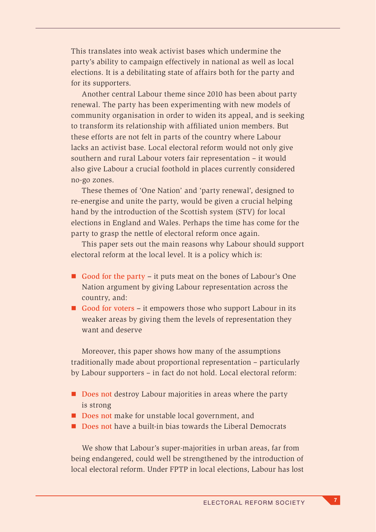This translates into weak activist bases which undermine the party's ability to campaign effectively in national as well as local elections. It is a debilitating state of affairs both for the party and for its supporters.

Another central Labour theme since 2010 has been about party renewal. The party has been experimenting with new models of community organisation in order to widen its appeal, and is seeking to transform its relationship with affiliated union members. But these efforts are not felt in parts of the country where Labour lacks an activist base. Local electoral reform would not only give southern and rural Labour voters fair representation – it would also give Labour a crucial foothold in places currently considered no-go zones.

These themes of 'One Nation' and 'party renewal', designed to re-energise and unite the party, would be given a crucial helping hand by the introduction of the Scottish system (STV) for local elections in England and Wales. Perhaps the time has come for the party to grasp the nettle of electoral reform once again.

This paper sets out the main reasons why Labour should support electoral reform at the local level. It is a policy which is:

- Good for the party it puts meat on the bones of Labour's One Nation argument by giving Labour representation across the country, and:
- Good for voters it empowers those who support Labour in its weaker areas by giving them the levels of representation they want and deserve

Moreover, this paper shows how many of the assumptions traditionally made about proportional representation – particularly by Labour supporters – in fact do not hold. Local electoral reform:

- $\blacksquare$  Does not destroy Labour majorities in areas where the party is strong
- Does not make for unstable local government, and
- $\blacksquare$  Does not have a built-in bias towards the Liberal Democrats

We show that Labour's super-majorities in urban areas, far from being endangered, could well be strengthened by the introduction of local electoral reform. Under FPTP in local elections, Labour has lost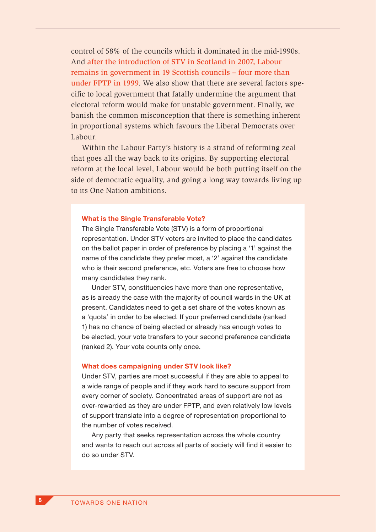control of 58% of the councils which it dominated in the mid-1990s. And after the introduction of STV in Scotland in 2007, Labour remains in government in 19 Scottish councils – four more than under FPTP in 1999. We also show that there are several factors specific to local government that fatally undermine the argument that electoral reform would make for unstable government. Finally, we banish the common misconception that there is something inherent in proportional systems which favours the Liberal Democrats over Labour.

Within the Labour Party's history is a strand of reforming zeal that goes all the way back to its origins. By supporting electoral reform at the local level, Labour would be both putting itself on the side of democratic equality, and going a long way towards living up to its One Nation ambitions.

#### What is the Single Transferable Vote?

The Single Transferable Vote (STV) is a form of proportional representation. Under STV voters are invited to place the candidates on the ballot paper in order of preference by placing a '1' against the name of the candidate they prefer most, a '2' against the candidate who is their second preference, etc. Voters are free to choose how many candidates they rank.

Under STV, constituencies have more than one representative, as is already the case with the majority of council wards in the UK at present. Candidates need to get a set share of the votes known as a 'quota' in order to be elected. If your preferred candidate (ranked 1) has no chance of being elected or already has enough votes to be elected, your vote transfers to your second preference candidate (ranked 2). Your vote counts only once.

#### What does campaigning under STV look like?

Under STV, parties are most successful if they are able to appeal to a wide range of people and if they work hard to secure support from every corner of society. Concentrated areas of support are not as over-rewarded as they are under FPTP, and even relatively low levels of support translate into a degree of representation proportional to the number of votes received.

Any party that seeks representation across the whole country and wants to reach out across all parts of society will find it easier to do so under STV.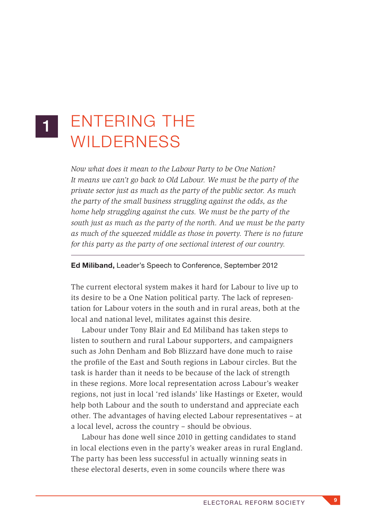### ENTERING THE WILDERNESS 1

*Now what does it mean to the Labour Party to be One Nation? It means we can't go back to Old Labour. We must be the party of the private sector just as much as the party of the public sector. As much the party of the small business struggling against the odds, as the home help struggling against the cuts. We must be the party of the south just as much as the party of the north. And we must be the party as much of the squeezed middle as those in poverty. There is no future for this party as the party of one sectional interest of our country.*

#### Ed Miliband, Leader's Speech to Conference, September 2012

The current electoral system makes it hard for Labour to live up to its desire to be a One Nation political party. The lack of representation for Labour voters in the south and in rural areas, both at the local and national level, militates against this desire.

Labour under Tony Blair and Ed Miliband has taken steps to listen to southern and rural Labour supporters, and campaigners such as John Denham and Bob Blizzard have done much to raise the profile of the East and South regions in Labour circles. But the task is harder than it needs to be because of the lack of strength in these regions. More local representation across Labour's weaker regions, not just in local 'red islands' like Hastings or Exeter, would help both Labour and the south to understand and appreciate each other. The advantages of having elected Labour representatives – at a local level, across the country – should be obvious.

Labour has done well since 2010 in getting candidates to stand in local elections even in the party's weaker areas in rural England. The party has been less successful in actually winning seats in these electoral deserts, even in some councils where there was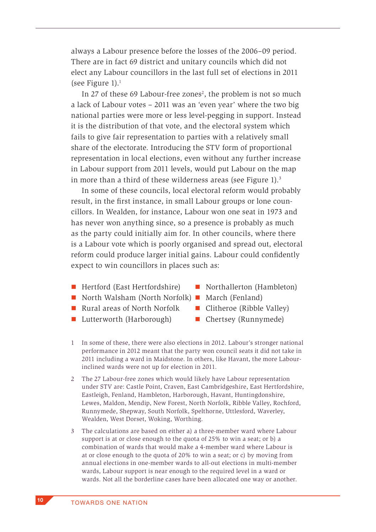always a Labour presence before the losses of the 2006–09 period. There are in fact 69 district and unitary councils which did not elect any Labour councillors in the last full set of elections in 2011 (see Figure  $1$ ).<sup>1</sup>

In 27 of these 69 Labour-free zones<sup>2</sup>, the problem is not so much a lack of Labour votes – 2011 was an 'even year' where the two big national parties were more or less level-pegging in support. Instead it is the distribution of that vote, and the electoral system which fails to give fair representation to parties with a relatively small share of the electorate. Introducing the STV form of proportional representation in local elections, even without any further increase in Labour support from 2011 levels, would put Labour on the map in more than a third of these wilderness areas (see Figure 1).<sup>3</sup>

In some of these councils, local electoral reform would probably result, in the first instance, in small Labour groups or lone councillors. In Wealden, for instance, Labour won one seat in 1973 and has never won anything since, so a presence is probably as much as the party could initially aim for. In other councils, where there is a Labour vote which is poorly organised and spread out, electoral reform could produce larger initial gains. Labour could confidently expect to win councillors in places such as:

- $\blacksquare$  Hertford (East Hertfordshire)
- North Walsham (North Norfolk) March (Fenland)
- $\blacksquare$  Rural areas of North Norfolk
- $\blacksquare$  Lutterworth (Harborough)
- $\blacksquare$  Northallerton (Hambleton)
	-
- $\blacksquare$  Clitheroe (Ribble Valley)
- Chertsey (Runnymede)
- 1 In some of these, there were also elections in 2012. Labour's stronger national performance in 2012 meant that the party won council seats it did not take in 2011 including a ward in Maidstone. In others, like Havant, the more Labourinclined wards were not up for election in 2011.
- 2 The 27 Labour-free zones which would likely have Labour representation under STV are: Castle Point, Craven, East Cambridgeshire, East Hertfordshire, Eastleigh, Fenland, Hambleton, Harborough, Havant, Huntingdonshire, Lewes, Maldon, Mendip, New Forest, North Norfolk, Ribble Valley, Rochford, Runnymede, Shepway, South Norfolk, Spelthorne, Uttlesford, Waverley, Wealden, West Dorset, Woking, Worthing.
- 3 The calculations are based on either a) a three-member ward where Labour support is at or close enough to the quota of 25% to win a seat; or b) a combination of wards that would make a 4-member ward where Labour is at or close enough to the quota of 20% to win a seat; or c) by moving from annual elections in one-member wards to all-out elections in multi-member wards, Labour support is near enough to the required level in a ward or wards. Not all the borderline cases have been allocated one way or another.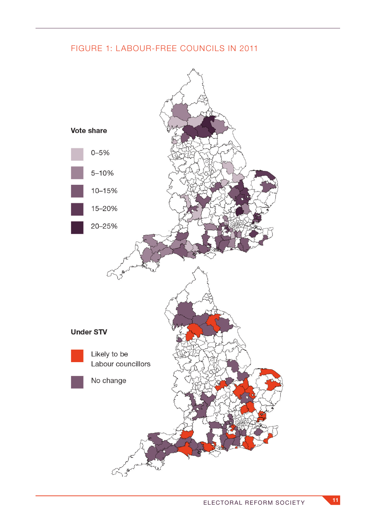#### FIGURE 1: LABOUR-FREE COUNCILS IN 2011

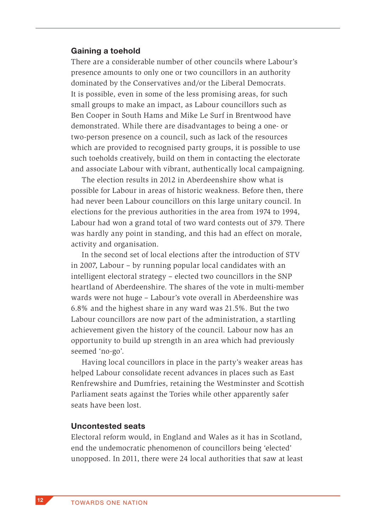#### Gaining a toehold

There are a considerable number of other councils where Labour's presence amounts to only one or two councillors in an authority dominated by the Conservatives and/or the Liberal Democrats. It is possible, even in some of the less promising areas, for such small groups to make an impact, as Labour councillors such as Ben Cooper in South Hams and Mike Le Surf in Brentwood have demonstrated. While there are disadvantages to being a one- or two-person presence on a council, such as lack of the resources which are provided to recognised party groups, it is possible to use such toeholds creatively, build on them in contacting the electorate and associate Labour with vibrant, authentically local campaigning.

The election results in 2012 in Aberdeenshire show what is possible for Labour in areas of historic weakness. Before then, there had never been Labour councillors on this large unitary council. In elections for the previous authorities in the area from 1974 to 1994, Labour had won a grand total of two ward contests out of 379. There was hardly any point in standing, and this had an effect on morale, activity and organisation.

In the second set of local elections after the introduction of STV in 2007, Labour – by running popular local candidates with an intelligent electoral strategy – elected two councillors in the SNP heartland of Aberdeenshire. The shares of the vote in multi-member wards were not huge – Labour's vote overall in Aberdeenshire was 6.8% and the highest share in any ward was 21.5%. But the two Labour councillors are now part of the administration, a startling achievement given the history of the council. Labour now has an opportunity to build up strength in an area which had previously seemed 'no-go'.

Having local councillors in place in the party's weaker areas has helped Labour consolidate recent advances in places such as East Renfrewshire and Dumfries, retaining the Westminster and Scottish Parliament seats against the Tories while other apparently safer seats have been lost.

#### Uncontested seats

Electoral reform would, in England and Wales as it has in Scotland, end the undemocratic phenomenon of councillors being 'elected' unopposed. In 2011, there were 24 local authorities that saw at least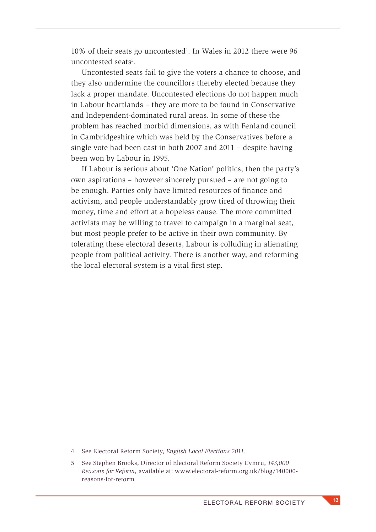10% of their seats go uncontested4 . In Wales in 2012 there were 96 uncontested seats<sup>5</sup>.

Uncontested seats fail to give the voters a chance to choose, and they also undermine the councillors thereby elected because they lack a proper mandate. Uncontested elections do not happen much in Labour heartlands – they are more to be found in Conservative and Independent-dominated rural areas. In some of these the problem has reached morbid dimensions, as with Fenland council in Cambridgeshire which was held by the Conservatives before a single vote had been cast in both 2007 and 2011 – despite having been won by Labour in 1995.

If Labour is serious about 'One Nation' politics, then the party's own aspirations – however sincerely pursued – are not going to be enough. Parties only have limited resources of finance and activism, and people understandably grow tired of throwing their money, time and effort at a hopeless cause. The more committed activists may be willing to travel to campaign in a marginal seat, but most people prefer to be active in their own community. By tolerating these electoral deserts, Labour is colluding in alienating people from political activity. There is another way, and reforming the local electoral system is a vital first step.

<sup>4</sup> See Electoral Reform Society, *English Local Elections 2011.*

<sup>5</sup> See Stephen Brooks, Director of Electoral Reform Society Cymru, *143,000 Reasons for Reform,* available at: www.electoral-reform.org.uk/blog/140000 reasons-for-reform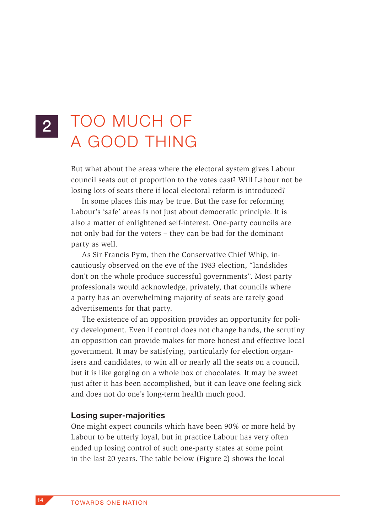## 2 TOO MUCH OF A GOOD THING

But what about the areas where the electoral system gives Labour council seats out of proportion to the votes cast? Will Labour not be losing lots of seats there if local electoral reform is introduced?

In some places this may be true. But the case for reforming Labour's 'safe' areas is not just about democratic principle. It is also a matter of enlightened self-interest. One-party councils are not only bad for the voters – they can be bad for the dominant party as well.

As Sir Francis Pym, then the Conservative Chief Whip, incautiously observed on the eve of the 1983 election, "landslides don't on the whole produce successful governments". Most party professionals would acknowledge, privately, that councils where a party has an overwhelming majority of seats are rarely good advertisements for that party.

The existence of an opposition provides an opportunity for policy development. Even if control does not change hands, the scrutiny an opposition can provide makes for more honest and effective local government. It may be satisfying, particularly for election organisers and candidates, to win all or nearly all the seats on a council, but it is like gorging on a whole box of chocolates. It may be sweet just after it has been accomplished, but it can leave one feeling sick and does not do one's long-term health much good.

#### Losing super-majorities

One might expect councils which have been 90% or more held by Labour to be utterly loyal, but in practice Labour has very often ended up losing control of such one-party states at some point in the last 20 years. The table below (Figure 2) shows the local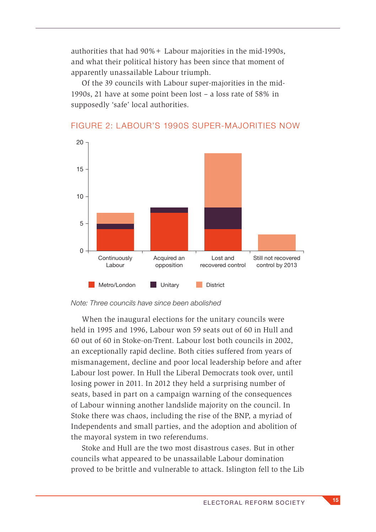authorities that had 90%+ Labour majorities in the mid-1990s, and what their political history has been since that moment of apparently unassailable Labour triumph.

Of the 39 councils with Labour super-majorities in the mid-1990s, 21 have at some point been lost – a loss rate of 58% in supposedly 'safe' local authorities.



#### FIGURE 2: LABOUR'S 1990S SUPER-MAJORITIES NOW



When the inaugural elections for the unitary councils were held in 1995 and 1996, Labour won 59 seats out of 60 in Hull and 60 out of 60 in Stoke-on-Trent. Labour lost both councils in 2002, an exceptionally rapid decline. Both cities suffered from years of mismanagement, decline and poor local leadership before and after Labour lost power. In Hull the Liberal Democrats took over, until losing power in 2011. In 2012 they held a surprising number of seats, based in part on a campaign warning of the consequences of Labour winning another landslide majority on the council. In Stoke there was chaos, including the rise of the BNP, a myriad of Independents and small parties, and the adoption and abolition of the mayoral system in two referendums.

Stoke and Hull are the two most disastrous cases. But in other councils what appeared to be unassailable Labour domination proved to be brittle and vulnerable to attack. Islington fell to the Lib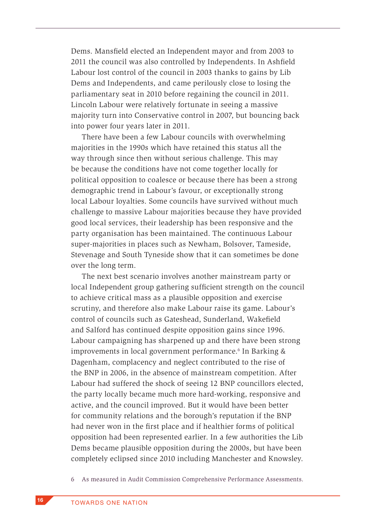Dems. Mansfield elected an Independent mayor and from 2003 to 2011 the council was also controlled by Independents. In Ashfield Labour lost control of the council in 2003 thanks to gains by Lib Dems and Independents, and came perilously close to losing the parliamentary seat in 2010 before regaining the council in 2011. Lincoln Labour were relatively fortunate in seeing a massive majority turn into Conservative control in 2007, but bouncing back into power four years later in 2011.

There have been a few Labour councils with overwhelming majorities in the 1990s which have retained this status all the way through since then without serious challenge. This may be because the conditions have not come together locally for political opposition to coalesce or because there has been a strong demographic trend in Labour's favour, or exceptionally strong local Labour loyalties. Some councils have survived without much challenge to massive Labour majorities because they have provided good local services, their leadership has been responsive and the party organisation has been maintained. The continuous Labour super-majorities in places such as Newham, Bolsover, Tameside, Stevenage and South Tyneside show that it can sometimes be done over the long term.

The next best scenario involves another mainstream party or local Independent group gathering sufficient strength on the council to achieve critical mass as a plausible opposition and exercise scrutiny, and therefore also make Labour raise its game. Labour's control of councils such as Gateshead, Sunderland, Wakefield and Salford has continued despite opposition gains since 1996. Labour campaigning has sharpened up and there have been strong improvements in local government performance.6 In Barking & Dagenham, complacency and neglect contributed to the rise of the BNP in 2006, in the absence of mainstream competition. After Labour had suffered the shock of seeing 12 BNP councillors elected, the party locally became much more hard-working, responsive and active, and the council improved. But it would have been better for community relations and the borough's reputation if the BNP had never won in the first place and if healthier forms of political opposition had been represented earlier. In a few authorities the Lib Dems became plausible opposition during the 2000s, but have been completely eclipsed since 2010 including Manchester and Knowsley.

6 As measured in Audit Commission Comprehensive Performance Assessments.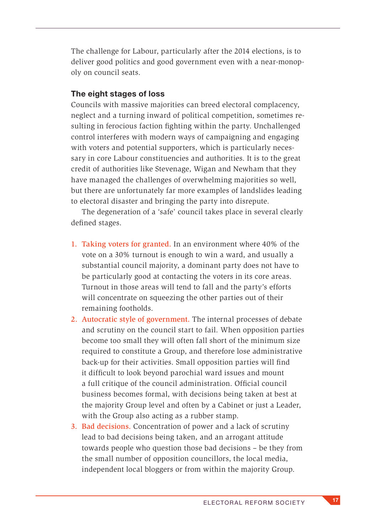The challenge for Labour, particularly after the 2014 elections, is to deliver good politics and good government even with a near-monopoly on council seats.

#### The eight stages of loss

Councils with massive majorities can breed electoral complacency, neglect and a turning inward of political competition, sometimes resulting in ferocious faction fighting within the party. Unchallenged control interferes with modern ways of campaigning and engaging with voters and potential supporters, which is particularly necessary in core Labour constituencies and authorities. It is to the great credit of authorities like Stevenage, Wigan and Newham that they have managed the challenges of overwhelming majorities so well, but there are unfortunately far more examples of landslides leading to electoral disaster and bringing the party into disrepute.

The degeneration of a 'safe' council takes place in several clearly defined stages.

- 1. Taking voters for granted. In an environment where 40% of the vote on a 30% turnout is enough to win a ward, and usually a substantial council majority, a dominant party does not have to be particularly good at contacting the voters in its core areas. Turnout in those areas will tend to fall and the party's efforts will concentrate on squeezing the other parties out of their remaining footholds.
- 2. Autocratic style of government. The internal processes of debate and scrutiny on the council start to fail. When opposition parties become too small they will often fall short of the minimum size required to constitute a Group, and therefore lose administrative back-up for their activities. Small opposition parties will find it difficult to look beyond parochial ward issues and mount a full critique of the council administration. Official council business becomes formal, with decisions being taken at best at the majority Group level and often by a Cabinet or just a Leader, with the Group also acting as a rubber stamp.
- 3. Bad decisions. Concentration of power and a lack of scrutiny lead to bad decisions being taken, and an arrogant attitude towards people who question those bad decisions – be they from the small number of opposition councillors, the local media, independent local bloggers or from within the majority Group.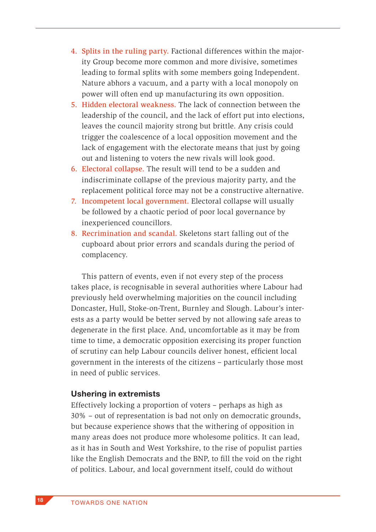- 4. Splits in the ruling party. Factional differences within the majority Group become more common and more divisive, sometimes leading to formal splits with some members going Independent. Nature abhors a vacuum, and a party with a local monopoly on power will often end up manufacturing its own opposition.
- 5. Hidden electoral weakness. The lack of connection between the leadership of the council, and the lack of effort put into elections, leaves the council majority strong but brittle. Any crisis could trigger the coalescence of a local opposition movement and the lack of engagement with the electorate means that just by going out and listening to voters the new rivals will look good.
- 6. Electoral collapse. The result will tend to be a sudden and indiscriminate collapse of the previous majority party, and the replacement political force may not be a constructive alternative.
- 7. Incompetent local government. Electoral collapse will usually be followed by a chaotic period of poor local governance by inexperienced councillors.
- 8. Recrimination and scandal. Skeletons start falling out of the cupboard about prior errors and scandals during the period of complacency.

This pattern of events, even if not every step of the process takes place, is recognisable in several authorities where Labour had previously held overwhelming majorities on the council including Doncaster, Hull, Stoke-on-Trent, Burnley and Slough. Labour's interests as a party would be better served by not allowing safe areas to degenerate in the first place. And, uncomfortable as it may be from time to time, a democratic opposition exercising its proper function of scrutiny can help Labour councils deliver honest, efficient local government in the interests of the citizens – particularly those most in need of public services.

#### Ushering in extremists

Effectively locking a proportion of voters – perhaps as high as 30% – out of representation is bad not only on democratic grounds, but because experience shows that the withering of opposition in many areas does not produce more wholesome politics. It can lead, as it has in South and West Yorkshire, to the rise of populist parties like the English Democrats and the BNP, to fill the void on the right of politics. Labour, and local government itself, could do without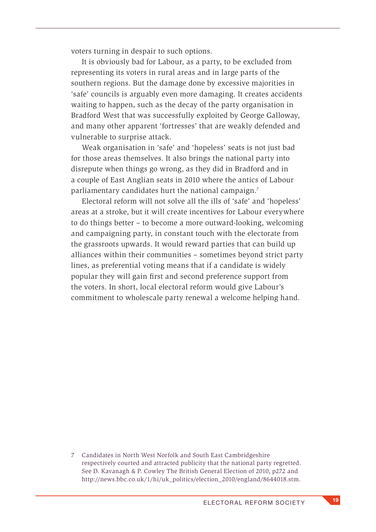voters turning in despair to such options.

It is obviously bad for Labour, as a party, to be excluded from representing its voters in rural areas and in large parts of the southern regions. But the damage done by excessive majorities in 'safe' councils is arguably even more damaging. It creates accidents waiting to happen, such as the decay of the party organisation in Bradford West that was successfully exploited by George Galloway, and many other apparent 'fortresses' that are weakly defended and vulnerable to surprise attack.

Weak organisation in 'safe' and 'hopeless' seats is not just bad for those areas themselves. It also brings the national party into disrepute when things go wrong, as they did in Bradford and in a couple of East Anglian seats in 2010 where the antics of Labour parliamentary candidates hurt the national campaign.<sup>7</sup>

Electoral reform will not solve all the ills of 'safe' and 'hopeless' areas at a stroke, but it will create incentives for Labour everywhere to do things better – to become a more outward-looking, welcoming and campaigning party, in constant touch with the electorate from the grassroots upwards. It would reward parties that can build up alliances within their communities – sometimes beyond strict party lines, as preferential voting means that if a candidate is widely popular they will gain first and second preference support from the voters. In short, local electoral reform would give Labour's commitment to wholescale party renewal a welcome helping hand.

7 Candidates in North West Norfolk and South East Cambridgeshire respectively courted and attracted publicity that the national party regretted. See D. Kavanagh & P. Cowley The British General Election of 2010, p272 and http://news.bbc.co.uk/1/hi/uk\_politics/election\_2010/england/8644018.stm.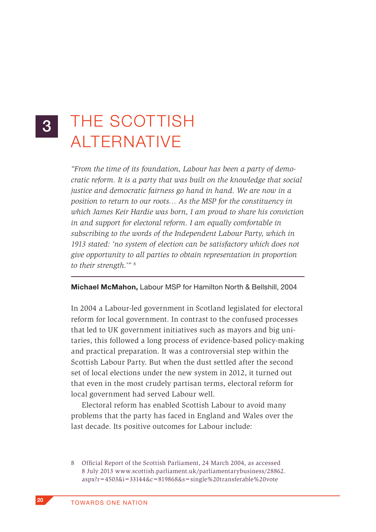### THE SCOTTISH ALTERNATIVE 3

*"From the time of its foundation, Labour has been a party of democratic reform. It is a party that was built on the knowledge that social justice and democratic fairness go hand in hand. We are now in a position to return to our roots… As the MSP for the constituency in which James Keir Hardie was born, I am proud to share his conviction in and support for electoral reform. I am equally comfortable in subscribing to the words of the Independent Labour Party, which in 1913 stated: 'no system of election can be satisfactory which does not give opportunity to all parties to obtain representation in proportion to their strength.'"* <sup>8</sup>

#### Michael McMahon, Labour MSP for Hamilton North & Bellshill, 2004

In 2004 a Labour-led government in Scotland legislated for electoral reform for local government. In contrast to the confused processes that led to UK government initiatives such as mayors and big unitaries, this followed a long process of evidence-based policy-making and practical preparation. It was a controversial step within the Scottish Labour Party. But when the dust settled after the second set of local elections under the new system in 2012, it turned out that even in the most crudely partisan terms, electoral reform for local government had served Labour well.

Electoral reform has enabled Scottish Labour to avoid many problems that the party has faced in England and Wales over the last decade. Its positive outcomes for Labour include:

<sup>8</sup> Official Report of the Scottish Parliament, 24 March 2004, as accessed 8 July 2013 www.scottish.parliament.uk/parliamentarybusiness/28862. aspx?r=4503&i=33144&c=819868&s=single%20transferable%20vote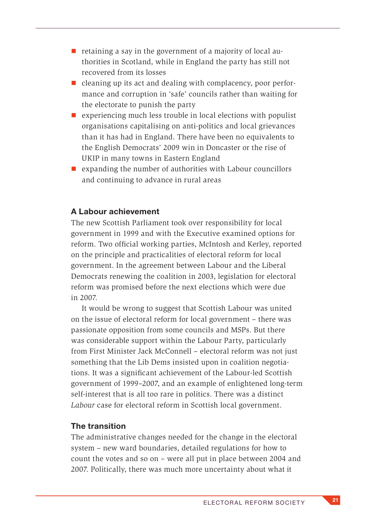- $\blacksquare$  retaining a say in the government of a majority of local authorities in Scotland, while in England the party has still not recovered from its losses
- n cleaning up its act and dealing with complacency, poor performance and corruption in 'safe' councils rather than waiting for the electorate to punish the party
- $\blacksquare$  experiencing much less trouble in local elections with populist organisations capitalising on anti-politics and local grievances than it has had in England. There have been no equivalents to the English Democrats' 2009 win in Doncaster or the rise of UKIP in many towns in Eastern England
- $\blacksquare$  expanding the number of authorities with Labour councillors and continuing to advance in rural areas

#### A Labour achievement

The new Scottish Parliament took over responsibility for local government in 1999 and with the Executive examined options for reform. Two official working parties, McIntosh and Kerley, reported on the principle and practicalities of electoral reform for local government. In the agreement between Labour and the Liberal Democrats renewing the coalition in 2003, legislation for electoral reform was promised before the next elections which were due in 2007.

It would be wrong to suggest that Scottish Labour was united on the issue of electoral reform for local government – there was passionate opposition from some councils and MSPs. But there was considerable support within the Labour Party, particularly from First Minister Jack McConnell – electoral reform was not just something that the Lib Dems insisted upon in coalition negotiations. It was a significant achievement of the Labour-led Scottish government of 1999–2007, and an example of enlightened long-term self-interest that is all too rare in politics. There was a distinct *Labour* case for electoral reform in Scottish local government.

#### The transition

The administrative changes needed for the change in the electoral system – new ward boundaries, detailed regulations for how to count the votes and so on – were all put in place between 2004 and 2007. Politically, there was much more uncertainty about what it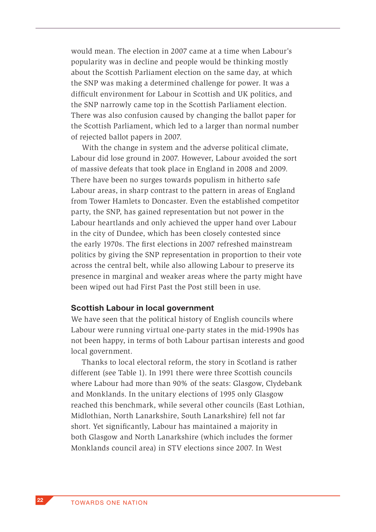would mean. The election in 2007 came at a time when Labour's popularity was in decline and people would be thinking mostly about the Scottish Parliament election on the same day, at which the SNP was making a determined challenge for power. It was a difficult environment for Labour in Scottish and UK politics, and the SNP narrowly came top in the Scottish Parliament election. There was also confusion caused by changing the ballot paper for the Scottish Parliament, which led to a larger than normal number of rejected ballot papers in 2007.

With the change in system and the adverse political climate, Labour did lose ground in 2007. However, Labour avoided the sort of massive defeats that took place in England in 2008 and 2009. There have been no surges towards populism in hitherto safe Labour areas, in sharp contrast to the pattern in areas of England from Tower Hamlets to Doncaster. Even the established competitor party, the SNP, has gained representation but not power in the Labour heartlands and only achieved the upper hand over Labour in the city of Dundee, which has been closely contested since the early 1970s. The first elections in 2007 refreshed mainstream politics by giving the SNP representation in proportion to their vote across the central belt, while also allowing Labour to preserve its presence in marginal and weaker areas where the party might have been wiped out had First Past the Post still been in use.

#### Scottish Labour in local government

We have seen that the political history of English councils where Labour were running virtual one-party states in the mid-1990s has not been happy, in terms of both Labour partisan interests and good local government.

Thanks to local electoral reform, the story in Scotland is rather different (see Table 1). In 1991 there were three Scottish councils where Labour had more than 90% of the seats: Glasgow, Clydebank and Monklands. In the unitary elections of 1995 only Glasgow reached this benchmark, while several other councils (East Lothian, Midlothian, North Lanarkshire, South Lanarkshire) fell not far short. Yet significantly, Labour has maintained a majority in both Glasgow and North Lanarkshire (which includes the former Monklands council area) in STV elections since 2007. In West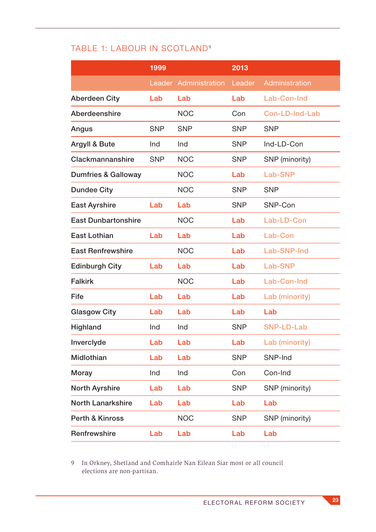### TABLE 1: LABOUR IN SCOTLAND<sup>9</sup>

|                                | 1999       |                       | 2013       |                |
|--------------------------------|------------|-----------------------|------------|----------------|
|                                |            | Leader Administration | Leader     | Administration |
| <b>Aberdeen City</b>           | Lab        | Lab                   | Lab        | Lab-Con-Ind    |
| Aberdeenshire                  |            | <b>NOC</b>            | Con        | Con-LD-Ind-Lab |
| Angus                          | <b>SNP</b> | <b>SNP</b>            | <b>SNP</b> | <b>SNP</b>     |
| Argyll & Bute                  | Ind        | Ind                   | <b>SNP</b> | Ind-LD-Con     |
| Clackmannanshire               | <b>SNP</b> | <b>NOC</b>            | <b>SNP</b> | SNP (minority) |
| <b>Dumfries &amp; Galloway</b> |            | <b>NOC</b>            | Lab        | Lab-SNP        |
| <b>Dundee City</b>             |            | <b>NOC</b>            | <b>SNP</b> | <b>SNP</b>     |
| <b>East Ayrshire</b>           | Lab        | Lab                   | <b>SNP</b> | SNP-Con        |
| <b>East Dunbartonshire</b>     |            | <b>NOC</b>            | Lab        | Lab-LD-Con     |
| East Lothian                   | Lab        | Lab                   | Lab        | Lab-Con        |
| <b>East Renfrewshire</b>       |            | <b>NOC</b>            | Lab        | Lab-SNP-Ind    |
| <b>Edinburgh City</b>          | Lab        | Lab                   | Lab        | Lab-SNP        |
| <b>Falkirk</b>                 |            | <b>NOC</b>            | Lab        | Lab-Con-Ind    |
| Fife                           | Lab        | Lab                   | Lab        | Lab (minority) |
| <b>Glasgow City</b>            | Lab        | Lab                   | Lab        | Lab            |
| Highland                       | Ind        | Ind                   | <b>SNP</b> | SNP-LD-Lab     |
| Inverclyde                     | Lab        | Lab                   | Lab        | Lab (minority) |
| Midlothian                     | Lab        | Lab                   | <b>SNP</b> | SNP-Ind        |
| Moray                          | Ind        | Ind                   | Con        | Con-Ind        |
| <b>North Ayrshire</b>          | Lab        | Lab                   | <b>SNP</b> | SNP (minority) |
| <b>North Lanarkshire</b>       | Lab        | Lab                   | Lab        | Lab            |
| Perth & Kinross                |            | <b>NOC</b>            | <b>SNP</b> | SNP (minority) |
| Renfrewshire                   | Lab        | Lab                   | Lab        | Lab            |

9 In Orkney, Shetland and Comhairle Nan Eilean Siar most or all council elections are non-partisan.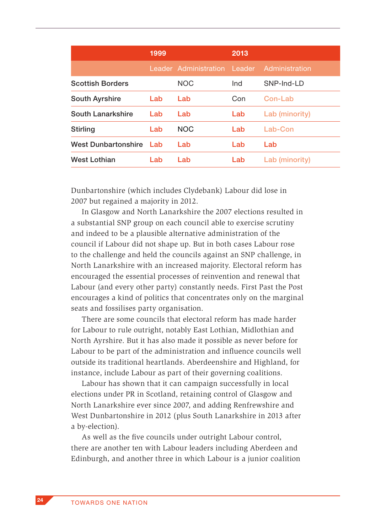|                         | 1999 |                       | 2013   |                |
|-------------------------|------|-----------------------|--------|----------------|
|                         |      | Leader Administration | Leader | Administration |
| <b>Scottish Borders</b> |      | <b>NOC</b>            | Ind    | SNP-Ind-LD     |
| South Ayrshire          | Lab  | Lab                   | Con    | Con-Lab        |
| South Lanarkshire       | Lab  | Lab                   | Lab    | Lab (minority) |
| Stirling                | Lab  | <b>NOC</b>            | Lab    | Lab-Con        |
| West Dunbartonshire     | Lab  | Lab                   | Lab    | Lab            |
| West Lothian            | Lab  | Lab                   | Lab    | Lab (minority) |

Dunbartonshire (which includes Clydebank) Labour did lose in 2007 but regained a majority in 2012.

In Glasgow and North Lanarkshire the 2007 elections resulted in a substantial SNP group on each council able to exercise scrutiny and indeed to be a plausible alternative administration of the council if Labour did not shape up. But in both cases Labour rose to the challenge and held the councils against an SNP challenge, in North Lanarkshire with an increased majority. Electoral reform has encouraged the essential processes of reinvention and renewal that Labour (and every other party) constantly needs. First Past the Post encourages a kind of politics that concentrates only on the marginal seats and fossilises party organisation.

There are some councils that electoral reform has made harder for Labour to rule outright, notably East Lothian, Midlothian and North Ayrshire. But it has also made it possible as never before for Labour to be part of the administration and influence councils well outside its traditional heartlands. Aberdeenshire and Highland, for instance, include Labour as part of their governing coalitions.

Labour has shown that it can campaign successfully in local elections under PR in Scotland, retaining control of Glasgow and North Lanarkshire ever since 2007, and adding Renfrewshire and West Dunbartonshire in 2012 (plus South Lanarkshire in 2013 after a by-election).

As well as the five councils under outright Labour control, there are another ten with Labour leaders including Aberdeen and Edinburgh, and another three in which Labour is a junior coalition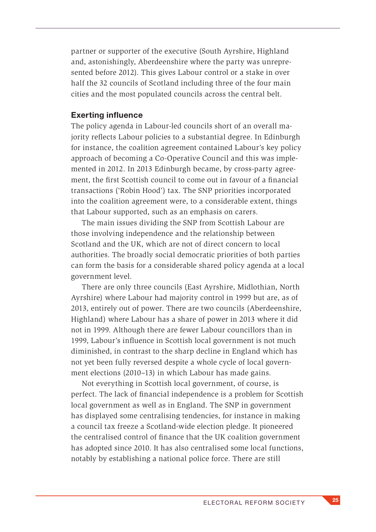partner or supporter of the executive (South Ayrshire, Highland and, astonishingly, Aberdeenshire where the party was unrepresented before 2012). This gives Labour control or a stake in over half the 32 councils of Scotland including three of the four main cities and the most populated councils across the central belt.

#### Exerting influence

The policy agenda in Labour-led councils short of an overall majority reflects Labour policies to a substantial degree. In Edinburgh for instance, the coalition agreement contained Labour's key policy approach of becoming a Co-Operative Council and this was implemented in 2012. In 2013 Edinburgh became, by cross-party agreement, the first Scottish council to come out in favour of a financial transactions ('Robin Hood') tax. The SNP priorities incorporated into the coalition agreement were, to a considerable extent, things that Labour supported, such as an emphasis on carers.

The main issues dividing the SNP from Scottish Labour are those involving independence and the relationship between Scotland and the UK, which are not of direct concern to local authorities. The broadly social democratic priorities of both parties can form the basis for a considerable shared policy agenda at a local government level.

There are only three councils (East Ayrshire, Midlothian, North Ayrshire) where Labour had majority control in 1999 but are, as of 2013, entirely out of power. There are two councils (Aberdeenshire, Highland) where Labour has a share of power in 2013 where it did not in 1999. Although there are fewer Labour councillors than in 1999, Labour's influence in Scottish local government is not much diminished, in contrast to the sharp decline in England which has not yet been fully reversed despite a whole cycle of local government elections (2010–13) in which Labour has made gains.

Not everything in Scottish local government, of course, is perfect. The lack of financial independence is a problem for Scottish local government as well as in England. The SNP in government has displayed some centralising tendencies, for instance in making a council tax freeze a Scotland-wide election pledge. It pioneered the centralised control of finance that the UK coalition government has adopted since 2010. It has also centralised some local functions, notably by establishing a national police force. There are still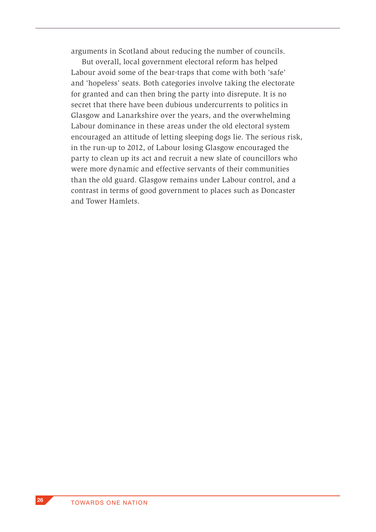arguments in Scotland about reducing the number of councils.

But overall, local government electoral reform has helped Labour avoid some of the bear-traps that come with both 'safe' and 'hopeless' seats. Both categories involve taking the electorate for granted and can then bring the party into disrepute. It is no secret that there have been dubious undercurrents to politics in Glasgow and Lanarkshire over the years, and the overwhelming Labour dominance in these areas under the old electoral system encouraged an attitude of letting sleeping dogs lie. The serious risk, in the run-up to 2012, of Labour losing Glasgow encouraged the party to clean up its act and recruit a new slate of councillors who were more dynamic and effective servants of their communities than the old guard. Glasgow remains under Labour control, and a contrast in terms of good government to places such as Doncaster and Tower Hamlets.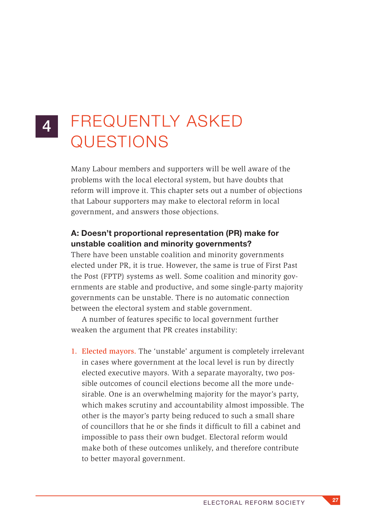### FREQUENTLY ASKED QUESTIONS 4

Many Labour members and supporters will be well aware of the problems with the local electoral system, but have doubts that reform will improve it. This chapter sets out a number of objections that Labour supporters may make to electoral reform in local government, and answers those objections.

#### A: Doesn't proportional representation (PR) make for unstable coalition and minority governments?

There have been unstable coalition and minority governments elected under PR, it is true. However, the same is true of First Past the Post (FPTP) systems as well. Some coalition and minority governments are stable and productive, and some single-party majority governments can be unstable. There is no automatic connection between the electoral system and stable government.

A number of features specific to local government further weaken the argument that PR creates instability:

1. Elected mayors. The 'unstable' argument is completely irrelevant in cases where government at the local level is run by directly elected executive mayors. With a separate mayoralty, two possible outcomes of council elections become all the more undesirable. One is an overwhelming majority for the mayor's party, which makes scrutiny and accountability almost impossible. The other is the mayor's party being reduced to such a small share of councillors that he or she finds it difficult to fill a cabinet and impossible to pass their own budget. Electoral reform would make both of these outcomes unlikely, and therefore contribute to better mayoral government.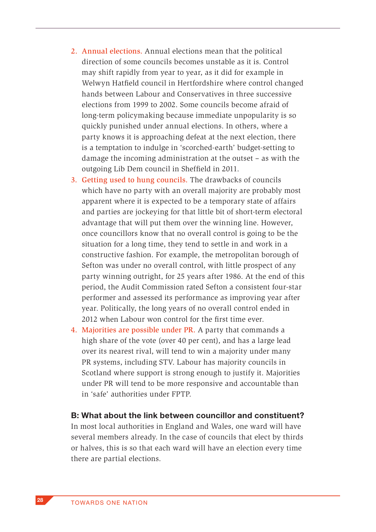- 2. Annual elections. Annual elections mean that the political direction of some councils becomes unstable as it is. Control may shift rapidly from year to year, as it did for example in Welwyn Hatfield council in Hertfordshire where control changed hands between Labour and Conservatives in three successive elections from 1999 to 2002. Some councils become afraid of long-term policymaking because immediate unpopularity is so quickly punished under annual elections. In others, where a party knows it is approaching defeat at the next election, there is a temptation to indulge in 'scorched-earth' budget-setting to damage the incoming administration at the outset – as with the outgoing Lib Dem council in Sheffield in 2011.
- 3. Getting used to hung councils. The drawbacks of councils which have no party with an overall majority are probably most apparent where it is expected to be a temporary state of affairs and parties are jockeying for that little bit of short-term electoral advantage that will put them over the winning line. However, once councillors know that no overall control is going to be the situation for a long time, they tend to settle in and work in a constructive fashion. For example, the metropolitan borough of Sefton was under no overall control, with little prospect of any party winning outright, for 25 years after 1986. At the end of this period, the Audit Commission rated Sefton a consistent four-star performer and assessed its performance as improving year after year. Politically, the long years of no overall control ended in 2012 when Labour won control for the first time ever.
- 4. Majorities are possible under PR. A party that commands a high share of the vote (over 40 per cent), and has a large lead over its nearest rival, will tend to win a majority under many PR systems, including STV. Labour has majority councils in Scotland where support is strong enough to justify it. Majorities under PR will tend to be more responsive and accountable than in 'safe' authorities under FPTP.

B: What about the link between councillor and constituent? In most local authorities in England and Wales, one ward will have several members already. In the case of councils that elect by thirds or halves, this is so that each ward will have an election every time there are partial elections.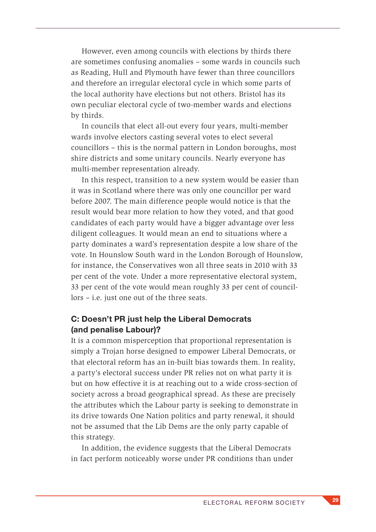However, even among councils with elections by thirds there are sometimes confusing anomalies – some wards in councils such as Reading, Hull and Plymouth have fewer than three councillors and therefore an irregular electoral cycle in which some parts of the local authority have elections but not others. Bristol has its own peculiar electoral cycle of two-member wards and elections by thirds.

In councils that elect all-out every four years, multi-member wards involve electors casting several votes to elect several councillors – this is the normal pattern in London boroughs, most shire districts and some unitary councils. Nearly everyone has multi-member representation already.

In this respect, transition to a new system would be easier than it was in Scotland where there was only one councillor per ward before 2007. The main difference people would notice is that the result would bear more relation to how they voted, and that good candidates of each party would have a bigger advantage over less diligent colleagues. It would mean an end to situations where a party dominates a ward's representation despite a low share of the vote. In Hounslow South ward in the London Borough of Hounslow, for instance, the Conservatives won all three seats in 2010 with 33 per cent of the vote. Under a more representative electoral system, 33 per cent of the vote would mean roughly 33 per cent of councillors – i.e. just one out of the three seats.

#### C: Doesn't PR just help the Liberal Democrats (and penalise Labour)?

It is a common misperception that proportional representation is simply a Trojan horse designed to empower Liberal Democrats, or that electoral reform has an in-built bias towards them. In reality, a party's electoral success under PR relies not on what party it is but on how effective it is at reaching out to a wide cross-section of society across a broad geographical spread. As these are precisely the attributes which the Labour party is seeking to demonstrate in its drive towards One Nation politics and party renewal, it should not be assumed that the Lib Dems are the only party capable of this strategy.

In addition, the evidence suggests that the Liberal Democrats in fact perform noticeably worse under PR conditions than under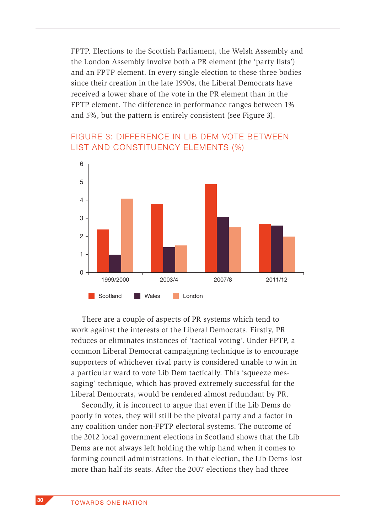FPTP. Elections to the Scottish Parliament, the Welsh Assembly and the London Assembly involve both a PR element (the 'party lists') and an FPTP element. In every single election to these three bodies since their creation in the late 1990s, the Liberal Democrats have received a lower share of the vote in the PR element than in the FPTP element. The difference in performance ranges between 1% and 5%, but the pattern is entirely consistent (see Figure 3).

#### FIGURE 3: DIFFERENCE IN LIB DEM VOTE BETWEEN LIST AND CONSTITUENCY ELEMENTS (%)



There are a couple of aspects of PR systems which tend to work against the interests of the Liberal Democrats. Firstly, PR reduces or eliminates instances of 'tactical voting'. Under FPTP, a common Liberal Democrat campaigning technique is to encourage supporters of whichever rival party is considered unable to win in a particular ward to vote Lib Dem tactically. This 'squeeze messaging' technique, which has proved extremely successful for the Liberal Democrats, would be rendered almost redundant by PR.

Secondly, it is incorrect to argue that even if the Lib Dems do poorly in votes, they will still be the pivotal party and a factor in any coalition under non-FPTP electoral systems. The outcome of the 2012 local government elections in Scotland shows that the Lib Dems are not always left holding the whip hand when it comes to forming council administrations. In that election, the Lib Dems lost more than half its seats. After the 2007 elections they had three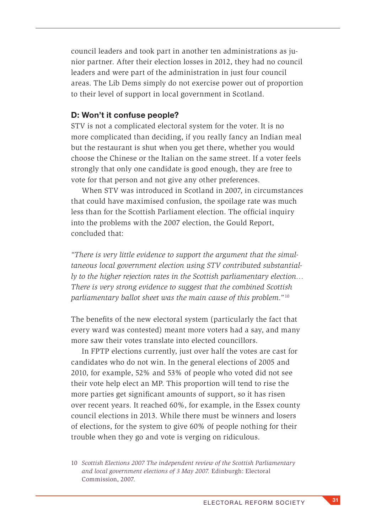council leaders and took part in another ten administrations as junior partner. After their election losses in 2012, they had no council leaders and were part of the administration in just four council areas. The Lib Dems simply do not exercise power out of proportion to their level of support in local government in Scotland.

#### D: Won't it confuse people?

STV is not a complicated electoral system for the voter. It is no more complicated than deciding, if you really fancy an Indian meal but the restaurant is shut when you get there, whether you would choose the Chinese or the Italian on the same street. If a voter feels strongly that only one candidate is good enough, they are free to vote for that person and not give any other preferences.

When STV was introduced in Scotland in 2007, in circumstances that could have maximised confusion, the spoilage rate was much less than for the Scottish Parliament election. The official inquiry into the problems with the 2007 election, the Gould Report, concluded that:

*"There is very little evidence to support the argument that the simultaneous local government election using STV contributed substantially to the higher rejection rates in the Scottish parliamentary election… There is very strong evidence to suggest that the combined Scottish parliamentary ballot sheet was the main cause of this problem."* <sup>10</sup>

The benefits of the new electoral system (particularly the fact that every ward was contested) meant more voters had a say, and many more saw their votes translate into elected councillors.

In FPTP elections currently, just over half the votes are cast for candidates who do not win. In the general elections of 2005 and 2010, for example, 52% and 53% of people who voted did not see their vote help elect an MP. This proportion will tend to rise the more parties get significant amounts of support, so it has risen over recent years. It reached 60%, for example, in the Essex county council elections in 2013. While there must be winners and losers of elections, for the system to give 60% of people nothing for their trouble when they go and vote is verging on ridiculous.

<sup>10</sup> *Scottish Elections 2007 The independent review of the Scottish Parliamentary and local government elections of 3 May 2007.* Edinburgh: Electoral Commission, 2007.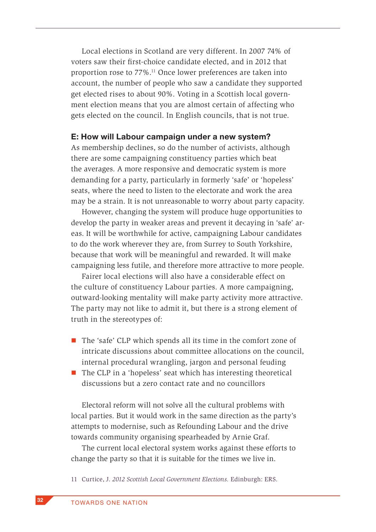Local elections in Scotland are very different. In 2007 74% of voters saw their first-choice candidate elected, and in 2012 that proportion rose to 77%.11 Once lower preferences are taken into account, the number of people who saw a candidate they supported get elected rises to about 90%. Voting in a Scottish local government election means that you are almost certain of affecting who gets elected on the council. In English councils, that is not true.

#### E: How will Labour campaign under a new system?

As membership declines, so do the number of activists, although there are some campaigning constituency parties which beat the averages. A more responsive and democratic system is more demanding for a party, particularly in formerly 'safe' or 'hopeless' seats, where the need to listen to the electorate and work the area may be a strain. It is not unreasonable to worry about party capacity.

However, changing the system will produce huge opportunities to develop the party in weaker areas and prevent it decaying in 'safe' areas. It will be worthwhile for active, campaigning Labour candidates to do the work wherever they are, from Surrey to South Yorkshire, because that work will be meaningful and rewarded. It will make campaigning less futile, and therefore more attractive to more people.

Fairer local elections will also have a considerable effect on the culture of constituency Labour parties. A more campaigning, outward-looking mentality will make party activity more attractive. The party may not like to admit it, but there is a strong element of truth in the stereotypes of:

- The 'safe' CLP which spends all its time in the comfort zone of intricate discussions about committee allocations on the council, internal procedural wrangling, jargon and personal feuding
- $\blacksquare$  The CLP in a 'hopeless' seat which has interesting theoretical discussions but a zero contact rate and no councillors

Electoral reform will not solve all the cultural problems with local parties. But it would work in the same direction as the party's attempts to modernise, such as Refounding Labour and the drive towards community organising spearheaded by Arnie Graf.

The current local electoral system works against these efforts to change the party so that it is suitable for the times we live in.

11 Curtice, J. *2012 Scottish Local Government Elections.* Edinburgh: ERS.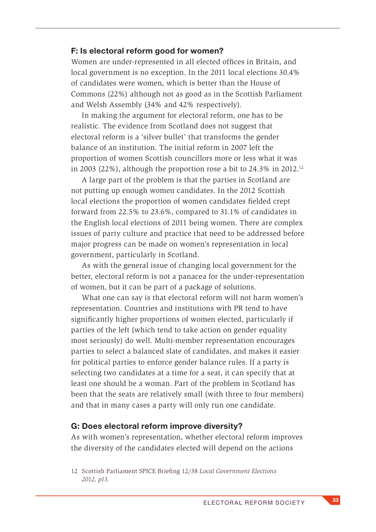#### F: Is electoral reform good for women?

Women are under-represented in all elected offices in Britain, and local government is no exception. In the 2011 local elections 30.4% of candidates were women, which is better than the House of Commons (22%) although not as good as in the Scottish Parliament and Welsh Assembly (34% and 42% respectively).

In making the argument for electoral reform, one has to be realistic. The evidence from Scotland does not suggest that electoral reform is a 'silver bullet' that transforms the gender balance of an institution. The initial reform in 2007 left the proportion of women Scottish councillors more or less what it was in 2003 (22%), although the proportion rose a bit to  $24.3\%$  in 2012.<sup>12</sup>

A large part of the problem is that the parties in Scotland are not putting up enough women candidates. In the 2012 Scottish local elections the proportion of women candidates fielded crept forward from 22.5% to 23.6%, compared to 31.1% of candidates in the English local elections of 2011 being women. There are complex issues of party culture and practice that need to be addressed before major progress can be made on women's representation in local government, particularly in Scotland.

As with the general issue of changing local government for the better, electoral reform is not a panacea for the under-representation of women, but it can be part of a package of solutions.

What one can say is that electoral reform will not harm women's representation. Countries and institutions with PR tend to have significantly higher proportions of women elected, particularly if parties of the left (which tend to take action on gender equality most seriously) do well. Multi-member representation encourages parties to select a balanced slate of candidates, and makes it easier for political parties to enforce gender balance rules. If a party is selecting two candidates at a time for a seat, it can specify that at least one should be a woman. Part of the problem in Scotland has been that the seats are relatively small (with three to four members) and that in many cases a party will only run one candidate.

#### G: Does electoral reform improve diversity?

As with women's representation, whether electoral reform improves the diversity of the candidates elected will depend on the actions

<sup>12</sup> Scottish Parliament SPICE Briefing 12/38 *Local Government Elections 2012, p13.*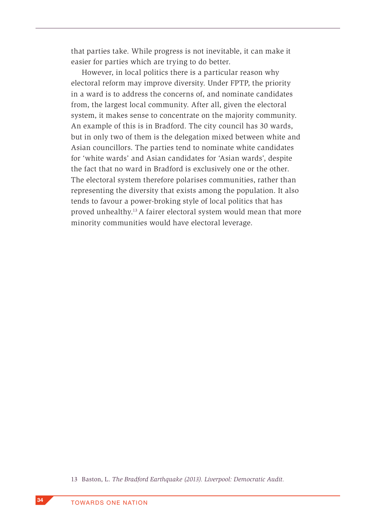that parties take. While progress is not inevitable, it can make it easier for parties which are trying to do better.

However, in local politics there is a particular reason why electoral reform may improve diversity. Under FPTP, the priority in a ward is to address the concerns of, and nominate candidates from, the largest local community. After all, given the electoral system, it makes sense to concentrate on the majority community. An example of this is in Bradford. The city council has 30 wards, but in only two of them is the delegation mixed between white and Asian councillors. The parties tend to nominate white candidates for 'white wards' and Asian candidates for 'Asian wards', despite the fact that no ward in Bradford is exclusively one or the other. The electoral system therefore polarises communities, rather than representing the diversity that exists among the population. It also tends to favour a power-broking style of local politics that has proved unhealthy.13 A fairer electoral system would mean that more minority communities would have electoral leverage.

13 Baston, L. *The Bradford Earthquake (2013). Liverpool: Democratic Audit.*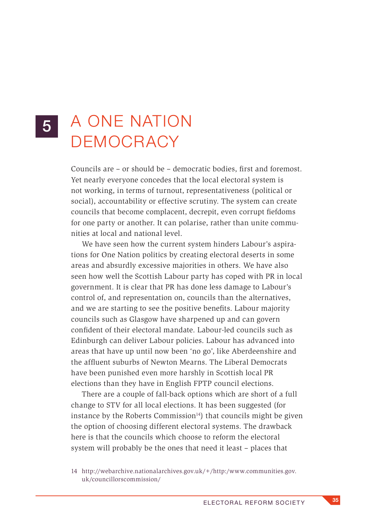## 5 A ONE NATION DEMOCRACY

Councils are – or should be – democratic bodies, first and foremost. Yet nearly everyone concedes that the local electoral system is not working, in terms of turnout, representativeness (political or social), accountability or effective scrutiny. The system can create councils that become complacent, decrepit, even corrupt fiefdoms for one party or another. It can polarise, rather than unite communities at local and national level.

We have seen how the current system hinders Labour's aspirations for One Nation politics by creating electoral deserts in some areas and absurdly excessive majorities in others. We have also seen how well the Scottish Labour party has coped with PR in local government. It is clear that PR has done less damage to Labour's control of, and representation on, councils than the alternatives, and we are starting to see the positive benefits. Labour majority councils such as Glasgow have sharpened up and can govern confident of their electoral mandate. Labour-led councils such as Edinburgh can deliver Labour policies. Labour has advanced into areas that have up until now been 'no go', like Aberdeenshire and the affluent suburbs of Newton Mearns. The Liberal Democrats have been punished even more harshly in Scottish local PR elections than they have in English FPTP council elections.

There are a couple of fall-back options which are short of a full change to STV for all local elections. It has been suggested (for instance by the Roberts Commission $14$ ) that councils might be given the option of choosing different electoral systems. The drawback here is that the councils which choose to reform the electoral system will probably be the ones that need it least – places that

<sup>14</sup> http://webarchive.nationalarchives.gov.uk/+/http:/www.communities.gov. uk/councillorscommission/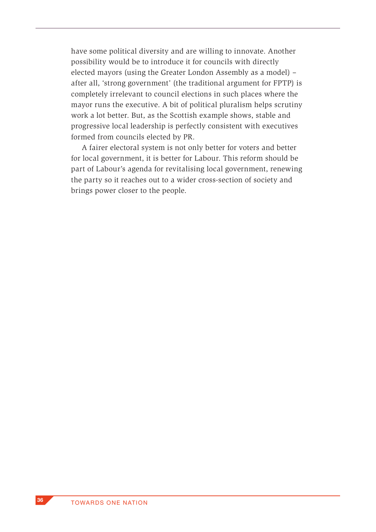have some political diversity and are willing to innovate. Another possibility would be to introduce it for councils with directly elected mayors (using the Greater London Assembly as a model) – after all, 'strong government' (the traditional argument for FPTP) is completely irrelevant to council elections in such places where the mayor runs the executive. A bit of political pluralism helps scrutiny work a lot better. But, as the Scottish example shows, stable and progressive local leadership is perfectly consistent with executives formed from councils elected by PR.

A fairer electoral system is not only better for voters and better for local government, it is better for Labour. This reform should be part of Labour's agenda for revitalising local government, renewing the party so it reaches out to a wider cross-section of society and brings power closer to the people.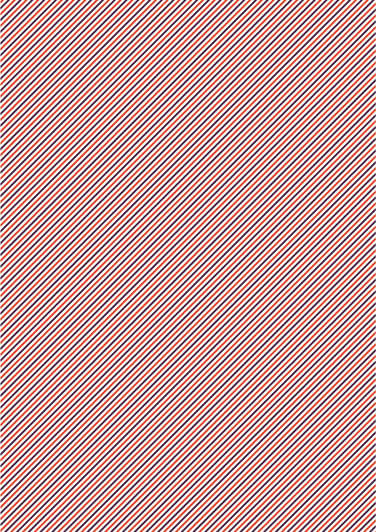